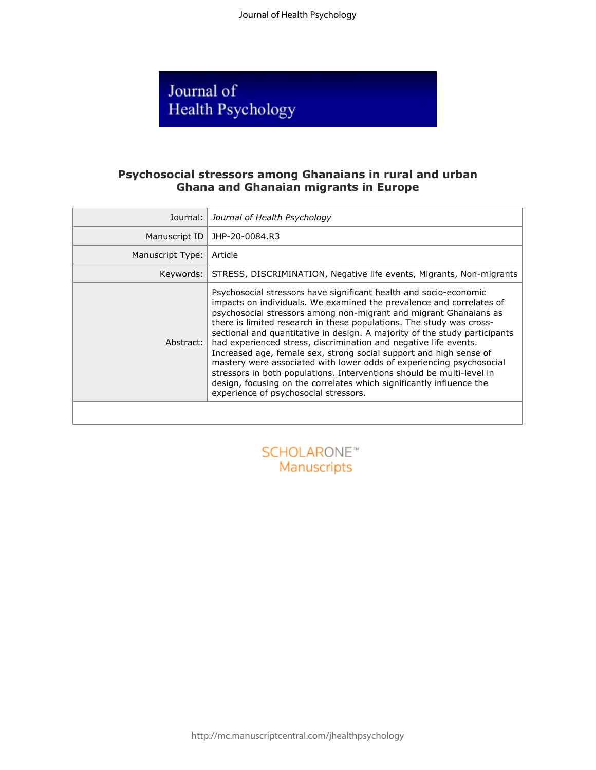# Journal of Health Psychology

# **Psychosocial stressors among Ghanaians in rural and urban Ghana and Ghanaian migrants in Europe**

| Journal:         | Journal of Health Psychology                                                                                                                                                                                                                                                                                                                                                                                                                                                                                                                                                                                                                                                                                                                                                     |
|------------------|----------------------------------------------------------------------------------------------------------------------------------------------------------------------------------------------------------------------------------------------------------------------------------------------------------------------------------------------------------------------------------------------------------------------------------------------------------------------------------------------------------------------------------------------------------------------------------------------------------------------------------------------------------------------------------------------------------------------------------------------------------------------------------|
| Manuscript ID    | JHP-20-0084.R3                                                                                                                                                                                                                                                                                                                                                                                                                                                                                                                                                                                                                                                                                                                                                                   |
| Manuscript Type: | Article                                                                                                                                                                                                                                                                                                                                                                                                                                                                                                                                                                                                                                                                                                                                                                          |
| Keywords:        | STRESS, DISCRIMINATION, Negative life events, Migrants, Non-migrants                                                                                                                                                                                                                                                                                                                                                                                                                                                                                                                                                                                                                                                                                                             |
| Abstract:        | Psychosocial stressors have significant health and socio-economic<br>impacts on individuals. We examined the prevalence and correlates of<br>psychosocial stressors among non-migrant and migrant Ghanaians as<br>there is limited research in these populations. The study was cross-<br>sectional and quantitative in design. A majority of the study participants<br>had experienced stress, discrimination and negative life events.<br>Increased age, female sex, strong social support and high sense of<br>mastery were associated with lower odds of experiencing psychosocial<br>stressors in both populations. Interventions should be multi-level in<br>design, focusing on the correlates which significantly influence the<br>experience of psychosocial stressors. |
|                  |                                                                                                                                                                                                                                                                                                                                                                                                                                                                                                                                                                                                                                                                                                                                                                                  |
|                  | <b>SCHOLARONE™</b><br>Manuscripts                                                                                                                                                                                                                                                                                                                                                                                                                                                                                                                                                                                                                                                                                                                                                |

| <b>SCHOLARONE™</b> |
|--------------------|
| <b>Manuscripts</b> |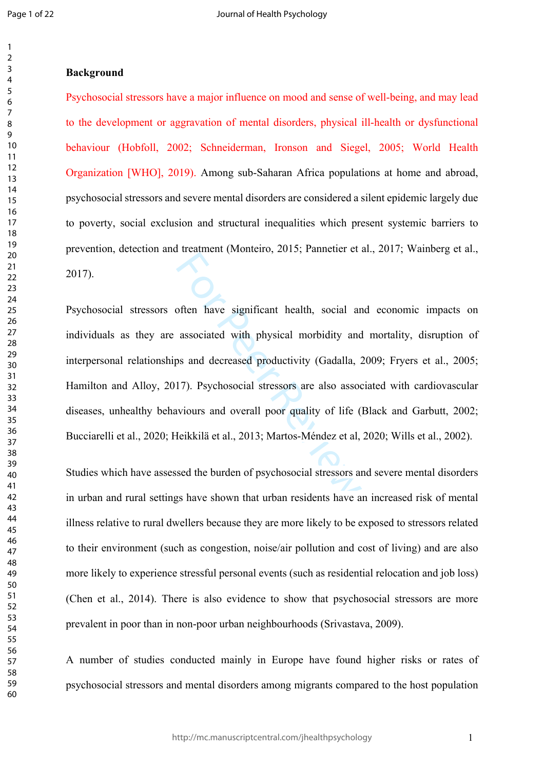$\mathbf{1}$ 

## **Background**

Psychosocial stressors have a major influence on mood and sense of well-being, and may lead to the development or aggravation of mental disorders, physical ill-health or dysfunctional behaviour (Hobfoll, 2002; Schneiderman, Ironson and Siegel, 2005; World Health Organization [WHO], 2019). Among sub-Saharan Africa populations at home and abroad, psychosocial stressors and severe mental disorders are considered a silent epidemic largely due to poverty, social exclusion and structural inequalities which present systemic barriers to prevention, detection and treatment (Monteiro, 2015; Pannetier et al., 2017; Wainberg et al., 2017).

often have significant health, social are<br>associated with physical morbidity and<br>posed and decreased productivity (Gadalla, 2<br>17). Psychosocial stressors are also assoc<br>wiours and overall poor quality of life (<br>Jeikkilä et Psychosocial stressors often have significant health, social and economic impacts on individuals as they are associated with physical morbidity and mortality, disruption of interpersonal relationships and decreased productivity (Gadalla, 2009; Fryers et al., 2005; Hamilton and Alloy, 2017). Psychosocial stressors are also associated with cardiovascular diseases, unhealthy behaviours and overall poor quality of life (Black and Garbutt, 2002; Bucciarelli et al., 2020; Heikkilä et al., 2013; Martos-Méndez et al, 2020; Wills et al., 2002).

Studies which have assessed the burden of psychosocial stressors and severe mental disorders in urban and rural settings have shown that urban residents have an increased risk of mental illness relative to rural dwellers because they are more likely to be exposed to stressors related to their environment (such as congestion, noise/air pollution and cost of living) and are also more likely to experience stressful personal events (such as residential relocation and job loss) (Chen et al., 2014). There is also evidence to show that psychosocial stressors are more prevalent in poor than in non-poor urban neighbourhoods (Srivastava, 2009).

A number of studies conducted mainly in Europe have found higher risks or rates of psychosocial stressors and mental disorders among migrants compared to the host population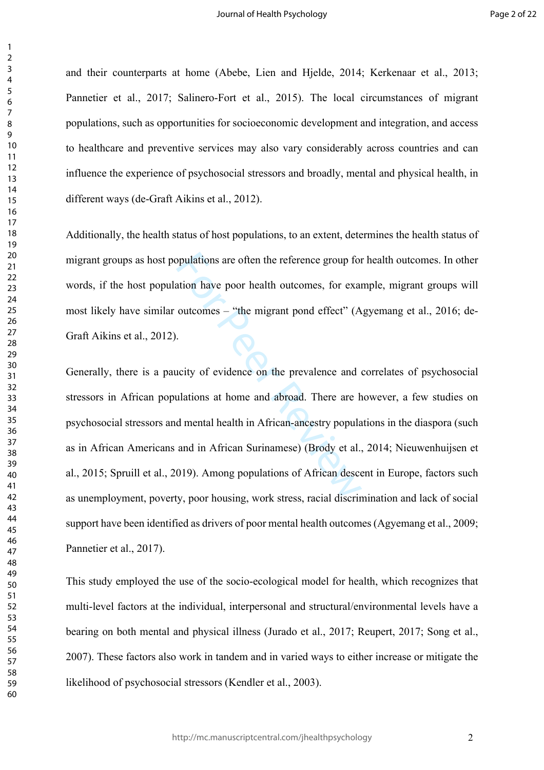and their counterparts at home (Abebe, Lien and Hjelde, 2014; Kerkenaar et al., 2013; Pannetier et al., 2017; Salinero-Fort et al., 2015). The local circumstances of migrant populations, such as opportunities for socioeconomic development and integration, and access to healthcare and preventive services may also vary considerably across countries and can influence the experience of psychosocial stressors and broadly, mental and physical health, in different ways (de-Graft Aikins et al., 2012).

Additionally, the health status of host populations, to an extent, determines the health status of migrant groups as host populations are often the reference group for health outcomes. In other words, if the host population have poor health outcomes, for example, migrant groups will most likely have similar outcomes – "the migrant pond effect" (Agyemang et al., 2016; de-Graft Aikins et al., 2012).

boundary are often the reference group for<br>ation have poor health outcomes, for exam<br>outcomes – "the migrant pond effect" (A<br>interval outcomes – "the migrant pond effect" (A<br>interval outcomes and interval of the prevalence Generally, there is a paucity of evidence on the prevalence and correlates of psychosocial stressors in African populations at home and abroad. There are however, a few studies on psychosocial stressors and mental health in African-ancestry populations in the diaspora (such as in African Americans and in African Surinamese) (Brody et al., 2014; Nieuwenhuijsen et al., 2015; Spruill et al., 2019). Among populations of African descent in Europe, factors such as unemployment, poverty, poor housing, work stress, racial discrimination and lack of social support have been identified as drivers of poor mental health outcomes (Agyemang et al., 2009; Pannetier et al., 2017).

This study employed the use of the socio-ecological model for health, which recognizes that multi-level factors at the individual, interpersonal and structural/environmental levels have a bearing on both mental and physical illness (Jurado et al., 2017; Reupert, 2017; Song et al., 2007). These factors also work in tandem and in varied ways to either increase or mitigate the likelihood of psychosocial stressors (Kendler et al., 2003).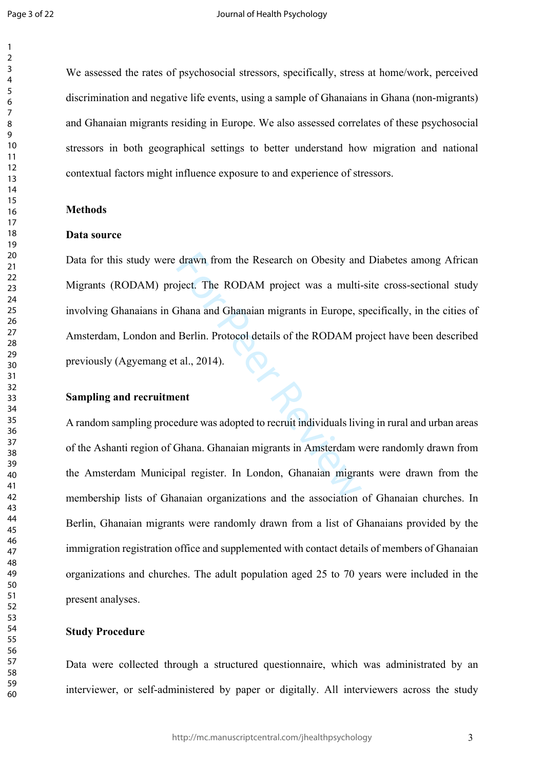$\mathbf{1}$  $\overline{2}$ 

We assessed the rates of psychosocial stressors, specifically, stress at home/work, perceived discrimination and negative life events, using a sample of Ghanaians in Ghana (non-migrants) and Ghanaian migrants residing in Europe. We also assessed correlates of these psychosocial stressors in both geographical settings to better understand how migration and national contextual factors might influence exposure to and experience of stressors.

#### **Methods**

#### **Data source**

drawn from the Research on Obesity and<br>viect. The RODAM project was a multi-<br>Shana and Ghanaian migrants in Europe, s<br>Berlin. Protocol details of the RODAM pr<br>al., 2014).<br>**Example 1**<br>ent<br>edure was adopted to recruit indivi Data for this study were drawn from the Research on Obesity and Diabetes among African Migrants (RODAM) project. The RODAM project was a multi-site cross-sectional study involving Ghanaians in Ghana and Ghanaian migrants in Europe, specifically, in the cities of Amsterdam, London and Berlin. Protocol details of the RODAM project have been described previously (Agyemang et al., 2014).

#### **Sampling and recruitment**

A random sampling procedure was adopted to recruit individuals living in rural and urban areas of the Ashanti region of Ghana. Ghanaian migrants in Amsterdam were randomly drawn from the Amsterdam Municipal register. In London, Ghanaian migrants were drawn from the membership lists of Ghanaian organizations and the association of Ghanaian churches. In Berlin, Ghanaian migrants were randomly drawn from a list of Ghanaians provided by the immigration registration office and supplemented with contact details of members of Ghanaian organizations and churches. The adult population aged 25 to 70 years were included in the present analyses.

### **Study Procedure**

Data were collected through a structured questionnaire, which was administrated by an interviewer, or self-administered by paper or digitally. All interviewers across the study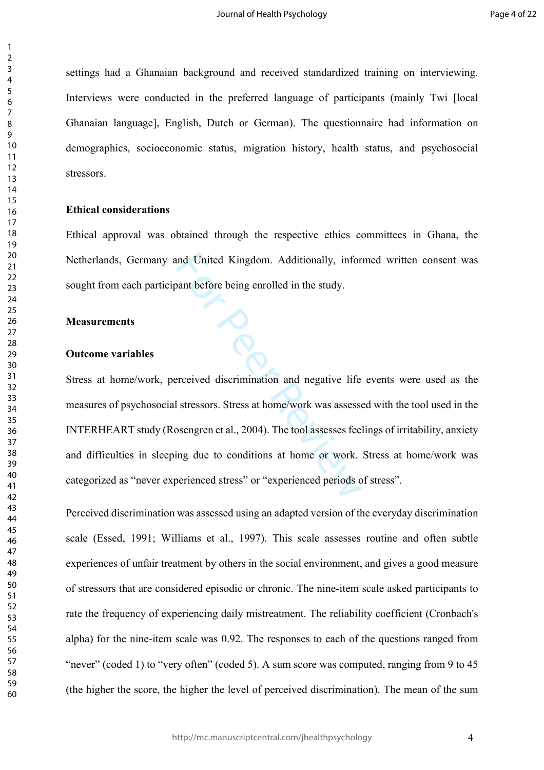settings had a Ghanaian background and received standardized training on interviewing. Interviews were conducted in the preferred language of participants (mainly Twi [local Ghanaian language], English, Dutch or German). The questionnaire had information on demographics, socioeconomic status, migration history, health status, and psychosocial stressors.

## **Ethical considerations**

Ethical approval was obtained through the respective ethics committees in Ghana, the Netherlands, Germany and United Kingdom. Additionally, informed written consent was sought from each participant before being enrolled in the study.

#### **Measurements**

#### **Outcome variables**

Independent Muslim Additionally, informant before being enrolled in the study.<br>The study end of the study.<br>The stressors are all stressors. Stress at home/work was assessed<br>absorped all stressors. Stress at home/work was a Stress at home/work, perceived discrimination and negative life events were used as the measures of psychosocial stressors. Stress at home/work was assessed with the tool used in the INTERHEART study (Rosengren et al., 2004). The tool assesses feelings of irritability, anxiety and difficulties in sleeping due to conditions at home or work. Stress at home/work was categorized as "never experienced stress" or "experienced periods of stress".

Perceived discrimination was assessed using an adapted version of the everyday discrimination scale (Essed, 1991; Williams et al., 1997). This scale assesses routine and often subtle experiences of unfair treatment by others in the social environment, and gives a good measure of stressors that are considered episodic or chronic. The nine-item scale asked participants to rate the frequency of experiencing daily mistreatment. The reliability coefficient (Cronbach's alpha) for the nine-item scale was 0.92. The responses to each of the questions ranged from "never" (coded 1) to "very often" (coded 5). A sum score was computed, ranging from 9 to 45 (the higher the score, the higher the level of perceived discrimination). The mean of the sum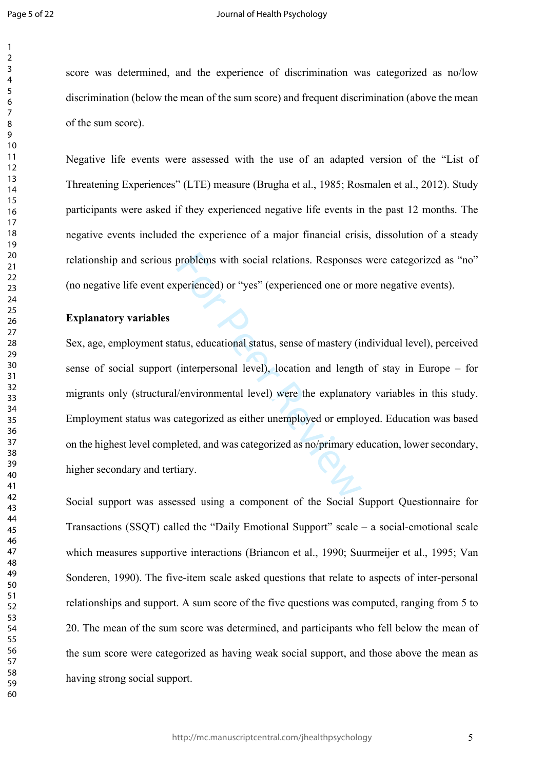$\mathbf{1}$ 

score was determined, and the experience of discrimination was categorized as no/low discrimination (below the mean of the sum score) and frequent discrimination (above the mean of the sum score).

Negative life events were assessed with the use of an adapted version of the "List of Threatening Experiences" (LTE) measure (Brugha et al., 1985; Rosmalen et al., 2012). Study participants were asked if they experienced negative life events in the past 12 months. The negative events included the experience of a major financial crisis, dissolution of a steady relationship and serious problems with social relations. Responses were categorized as "no" (no negative life event experienced) or "yes" (experienced one or more negative events).

# **Explanatory variables**

problems with social relations. Responses<br>perienced) or "yes" (experienced one or m<br>tus, educational status, sense of mastery (i)<br>(interpersonal level), location and length<br>/environmental level) were the explanato<br>categori Sex, age, employment status, educational status, sense of mastery (individual level), perceived sense of social support (interpersonal level), location and length of stay in Europe – for migrants only (structural/environmental level) were the explanatory variables in this study. Employment status was categorized as either unemployed or employed. Education was based on the highest level completed, and was categorized as no/primary education, lower secondary, higher secondary and tertiary.

Social support was assessed using a component of the Social Support Questionnaire for Transactions (SSQT) called the "Daily Emotional Support" scale – a social-emotional scale which measures supportive interactions (Briancon et al., 1990; Suurmeijer et al., 1995; Van Sonderen, 1990). The five-item scale asked questions that relate to aspects of inter-personal relationships and support. A sum score of the five questions was computed, ranging from 5 to 20. The mean of the sum score was determined, and participants who fell below the mean of the sum score were categorized as having weak social support, and those above the mean as having strong social support.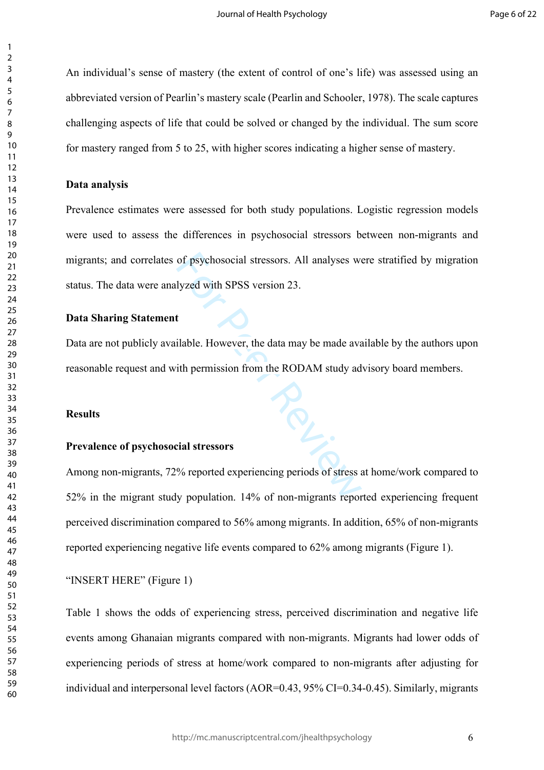An individual's sense of mastery (the extent of control of one's life) was assessed using an abbreviated version of Pearlin's mastery scale (Pearlin and Schooler, 1978). The scale captures challenging aspects of life that could be solved or changed by the individual. The sum score for mastery ranged from 5 to 25, with higher scores indicating a higher sense of mastery.

#### **Data analysis**

of psychosocial stressors. All analyses we<br>lyzed with SPSS version 23.<br>t<br>ilable. However, the data may be made ava<br>ith permission from the RODAM study ad<br>ial stressors<br>% reported experiencing periods of stress ay<br>y populat Prevalence estimates were assessed for both study populations. Logistic regression models were used to assess the differences in psychosocial stressors between non-migrants and migrants; and correlates of psychosocial stressors. All analyses were stratified by migration status. The data were analyzed with SPSS version 23.

# **Data Sharing Statement**

Data are not publicly available. However, the data may be made available by the authors upon reasonable request and with permission from the RODAM study advisory board members.

# **Results**

## **Prevalence of psychosocial stressors**

Among non-migrants, 72% reported experiencing periods of stress at home/work compared to 52% in the migrant study population. 14% of non-migrants reported experiencing frequent perceived discrimination compared to 56% among migrants. In addition, 65% of non-migrants reported experiencing negative life events compared to 62% among migrants (Figure 1).

"INSERT HERE" (Figure 1)

Table 1 shows the odds of experiencing stress, perceived discrimination and negative life events among Ghanaian migrants compared with non-migrants. Migrants had lower odds of experiencing periods of stress at home/work compared to non-migrants after adjusting for individual and interpersonal level factors (AOR=0.43, 95% CI=0.34-0.45). Similarly, migrants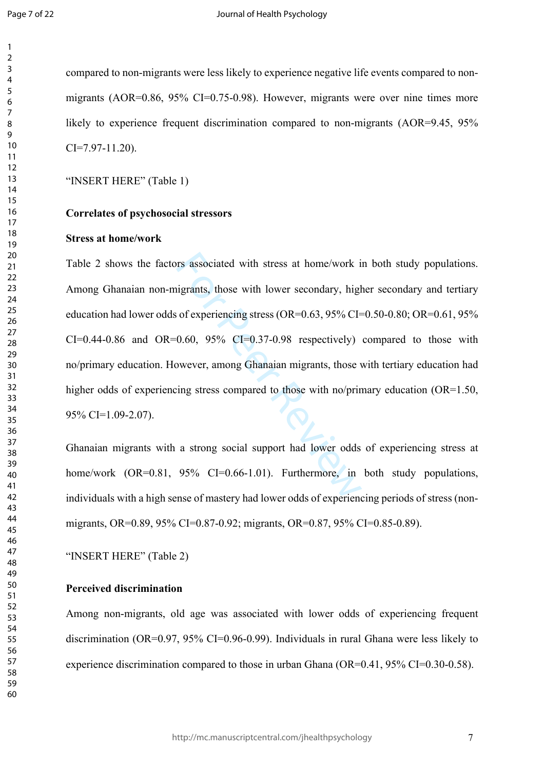$\mathbf{1}$  $\overline{2}$  $\overline{3}$  $\overline{4}$  $\overline{7}$ 

compared to non-migrants were less likely to experience negative life events compared to nonmigrants (AOR=0.86, 95% CI=0.75-0.98). However, migrants were over nine times more likely to experience frequent discrimination compared to non-migrants (AOR=9.45, 95%  $CI = 7.97 - 11.20$ .

"INSERT HERE" (Table 1)

#### **Correlates of psychosocial stressors**

#### **Stress at home/work**

rs associated with stress at home/work is<br>igrants, those with lower secondary, high<br>of experiencing stress (OR=0.63, 95% CI=0.60, 95% CI=0.37-0.98 respectively)<br>owever, among Ghanaian migrants, those v<br>ing stress compared Table 2 shows the factors associated with stress at home/work in both study populations. Among Ghanaian non-migrants, those with lower secondary, higher secondary and tertiary education had lower odds of experiencing stress (OR=0.63, 95% CI=0.50-0.80; OR=0.61, 95%  $CI=0.44-0.86$  and  $OR=0.60$ ,  $95\%$   $CI=0.37-0.98$  respectively) compared to those with no/primary education. However, among Ghanaian migrants, those with tertiary education had higher odds of experiencing stress compared to those with no/primary education (OR=1.50, 95% CI=1.09-2.07).

Ghanaian migrants with a strong social support had lower odds of experiencing stress at home/work (OR=0.81, 95% CI=0.66-1.01). Furthermore, in both study populations, individuals with a high sense of mastery had lower odds of experiencing periods of stress (nonmigrants, OR=0.89, 95% CI=0.87-0.92; migrants, OR=0.87, 95% CI=0.85-0.89).

"INSERT HERE" (Table 2)

# **Perceived discrimination**

Among non-migrants, old age was associated with lower odds of experiencing frequent discrimination (OR=0.97, 95% CI=0.96-0.99). Individuals in rural Ghana were less likely to experience discrimination compared to those in urban Ghana (OR=0.41, 95% CI=0.30-0.58).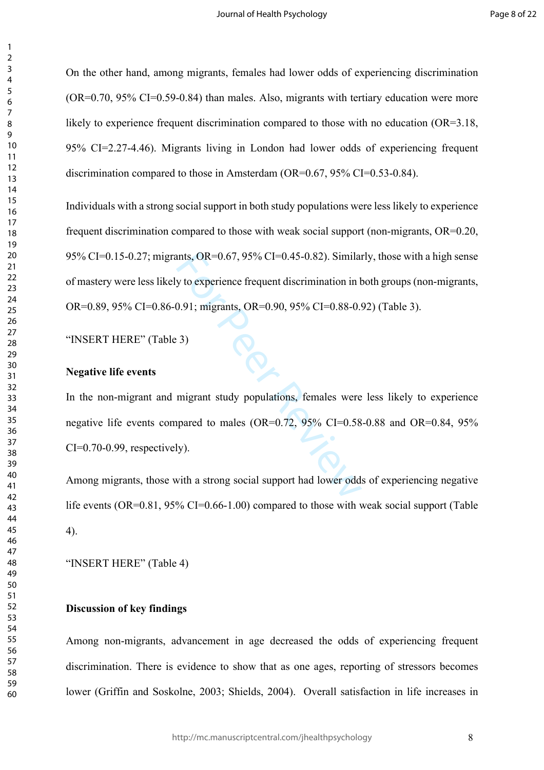> On the other hand, among migrants, females had lower odds of experiencing discrimination  $(OR=0.70, 95\% CI=0.59-0.84)$  than males. Also, migrants with tertiary education were more likely to experience frequent discrimination compared to those with no education (OR=3.18, 95% CI=2.27-4.46). Migrants living in London had lower odds of experiencing frequent discrimination compared to those in Amsterdam (OR=0.67, 95% CI=0.53-0.84).

> nnts, OR=0.67, 95% CI=0.45-0.82). Similar<br>y to experience frequent discrimination in t<br>0.91; migrants, OR=0.90, 95% CI=0.88-0.9<br>3)<br>migrant study populations, females were<br>pared to males (OR=0.72, 95% CI=0.58<br>ly). Individuals with a strong social support in both study populations were less likely to experience frequent discrimination compared to those with weak social support (non-migrants, OR=0.20, 95% CI=0.15-0.27; migrants, OR=0.67, 95% CI=0.45-0.82). Similarly, those with a high sense of mastery were less likely to experience frequent discrimination in both groups (non-migrants, OR=0.89, 95% CI=0.86-0.91; migrants, OR=0.90, 95% CI=0.88-0.92) (Table 3).

"INSERT HERE" (Table 3)

#### **Negative life events**

In the non-migrant and migrant study populations, females were less likely to experience negative life events compared to males (OR=0.72, 95% CI=0.58-0.88 and OR=0.84, 95%  $CI=0.70-0.99$ , respectively).

Among migrants, those with a strong social support had lower odds of experiencing negative life events (OR=0.81, 95% CI=0.66-1.00) compared to those with weak social support (Table 4).

"INSERT HERE" (Table 4)

# **Discussion of key findings**

Among non-migrants, advancement in age decreased the odds of experiencing frequent discrimination. There is evidence to show that as one ages, reporting of stressors becomes lower (Griffin and Soskolne, 2003; Shields, 2004). Overall satisfaction in life increases in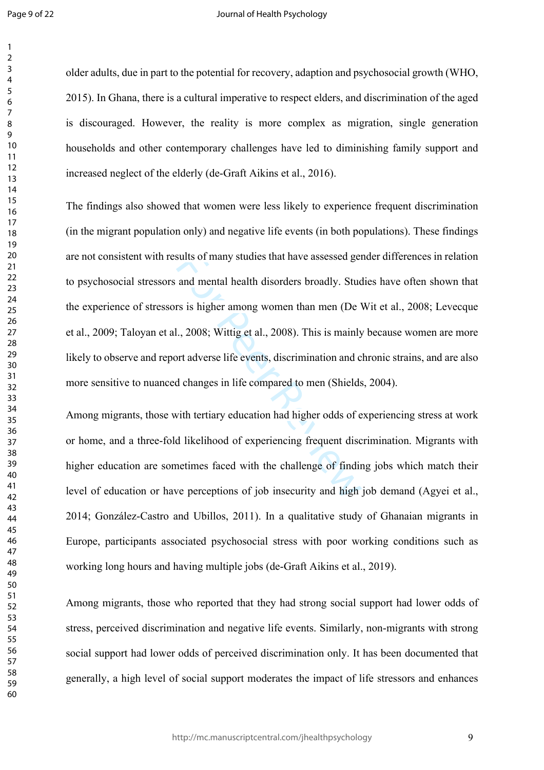$\mathbf{1}$ 

#### Journal of Health Psychology

older adults, due in part to the potential for recovery, adaption and psychosocial growth (WHO, 2015). In Ghana, there is a cultural imperative to respect elders, and discrimination of the aged is discouraged. However, the reality is more complex as migration, single generation households and other contemporary challenges have led to diminishing family support and increased neglect of the elderly (de-Graft Aikins et al., 2016).

sults of many studies that have assessed ger<br>and mental health disorders broadly. Student<br>rs is higher among women than men (De <sup>1</sup><br>..., 2008; Wittig et al., 2008). This is mainly<br>ort adverse life events, discrimination an The findings also showed that women were less likely to experience frequent discrimination (in the migrant population only) and negative life events (in both populations). These findings are not consistent with results of many studies that have assessed gender differences in relation to psychosocial stressors and mental health disorders broadly. Studies have often shown that the experience of stressors is higher among women than men (De Wit et al., 2008; Levecque et al., 2009; Taloyan et al., 2008; Wittig et al., 2008). This is mainly because women are more likely to observe and report adverse life events, discrimination and chronic strains, and are also more sensitive to nuanced changes in life compared to men (Shields, 2004).

Among migrants, those with tertiary education had higher odds of experiencing stress at work or home, and a three-fold likelihood of experiencing frequent discrimination. Migrants with higher education are sometimes faced with the challenge of finding jobs which match their level of education or have perceptions of job insecurity and high job demand (Agyei et al., 2014; González-Castro and Ubillos, 2011). In a qualitative study of Ghanaian migrants in Europe, participants associated psychosocial stress with poor working conditions such as working long hours and having multiple jobs (de-Graft Aikins et al., 2019).

Among migrants, those who reported that they had strong social support had lower odds of stress, perceived discrimination and negative life events. Similarly, non-migrants with strong social support had lower odds of perceived discrimination only. It has been documented that generally, a high level of social support moderates the impact of life stressors and enhances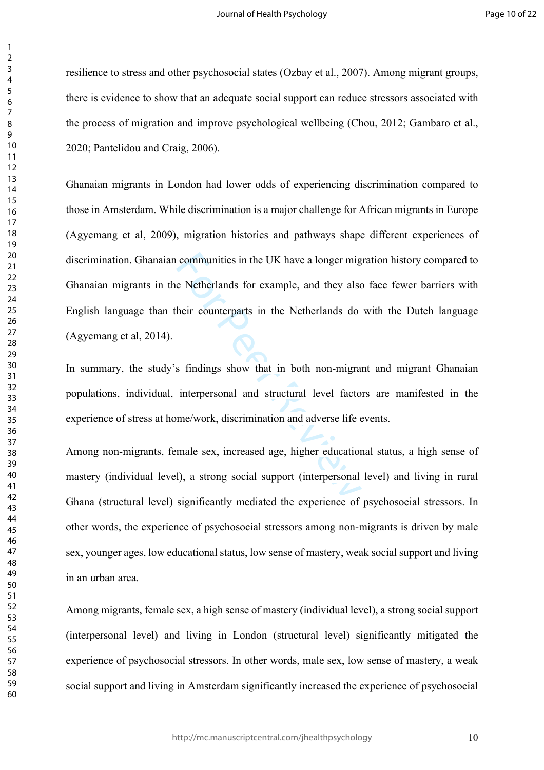resilience to stress and other psychosocial states (Ozbay et al., 2007). Among migrant groups, there is evidence to show that an adequate social support can reduce stressors associated with the process of migration and improve psychological wellbeing (Chou, 2012; Gambaro et al., 2020; Pantelidou and Craig, 2006).

communities in the UK have a longer mig<br>e Netherlands for example, and they also<br>heir counterparts in the Netherlands do<br>heir counterparts in the Netherlands do<br>sf indings show that in both non-migra:<br>interpersonal and str Ghanaian migrants in London had lower odds of experiencing discrimination compared to those in Amsterdam. While discrimination is a major challenge for African migrants in Europe (Agyemang et al, 2009), migration histories and pathways shape different experiences of discrimination. Ghanaian communities in the UK have a longer migration history compared to Ghanaian migrants in the Netherlands for example, and they also face fewer barriers with English language than their counterparts in the Netherlands do with the Dutch language (Agyemang et al, 2014).

In summary, the study's findings show that in both non-migrant and migrant Ghanaian populations, individual, interpersonal and structural level factors are manifested in the experience of stress at home/work, discrimination and adverse life events.

Among non-migrants, female sex, increased age, higher educational status, a high sense of mastery (individual level), a strong social support (interpersonal level) and living in rural Ghana (structural level) significantly mediated the experience of psychosocial stressors. In other words, the experience of psychosocial stressors among non-migrants is driven by male sex, younger ages, low educational status, low sense of mastery, weak social support and living in an urban area.

Among migrants, female sex, a high sense of mastery (individual level), a strong social support (interpersonal level) and living in London (structural level) significantly mitigated the experience of psychosocial stressors. In other words, male sex, low sense of mastery, a weak social support and living in Amsterdam significantly increased the experience of psychosocial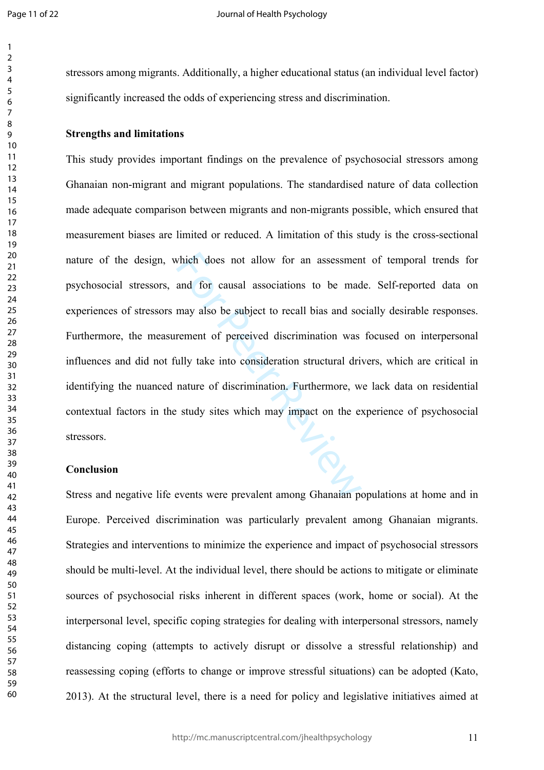$\mathbf{1}$  $\overline{2}$  $\overline{3}$  $\overline{4}$  $\overline{7}$ 

stressors among migrants. Additionally, a higher educational status (an individual level factor) significantly increased the odds of experiencing stress and discrimination.

## **Strengths and limitations**

which does not allow for an assessment<br>and for causal associations to be mad<br>may also be subject to recall bias and so<br>rement of perceived discrimination was<br>ully take into consideration structural dri-<br>nature of discrimin This study provides important findings on the prevalence of psychosocial stressors among Ghanaian non-migrant and migrant populations. The standardised nature of data collection made adequate comparison between migrants and non-migrants possible, which ensured that measurement biases are limited or reduced. A limitation of this study is the cross-sectional nature of the design, which does not allow for an assessment of temporal trends for psychosocial stressors, and for causal associations to be made. Self-reported data on experiences of stressors may also be subject to recall bias and socially desirable responses. Furthermore, the measurement of perceived discrimination was focused on interpersonal influences and did not fully take into consideration structural drivers, which are critical in identifying the nuanced nature of discrimination. Furthermore, we lack data on residential contextual factors in the study sites which may impact on the experience of psychosocial stressors.

## **Conclusion**

Stress and negative life events were prevalent among Ghanaian populations at home and in Europe. Perceived discrimination was particularly prevalent among Ghanaian migrants. Strategies and interventions to minimize the experience and impact of psychosocial stressors should be multi-level. At the individual level, there should be actions to mitigate or eliminate sources of psychosocial risks inherent in different spaces (work, home or social). At the interpersonal level, specific coping strategies for dealing with interpersonal stressors, namely distancing coping (attempts to actively disrupt or dissolve a stressful relationship) and reassessing coping (efforts to change or improve stressful situations) can be adopted (Kato, 2013). At the structural level, there is a need for policy and legislative initiatives aimed at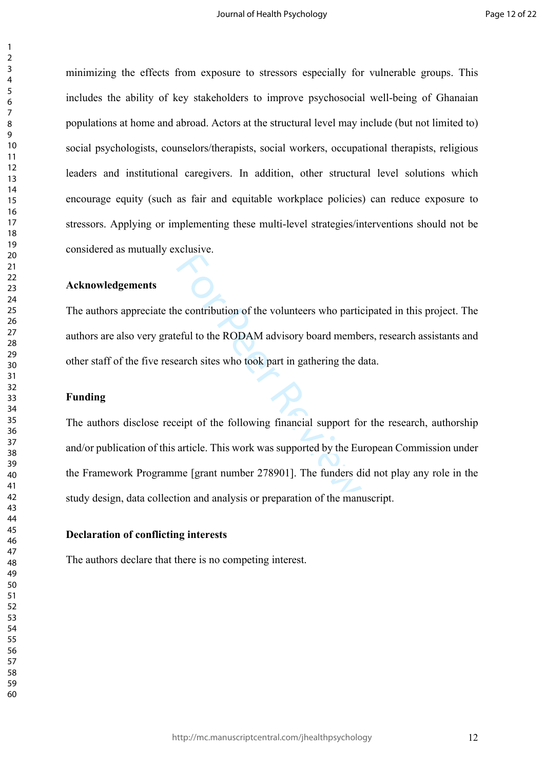minimizing the effects from exposure to stressors especially for vulnerable groups. This includes the ability of key stakeholders to improve psychosocial well-being of Ghanaian populations at home and abroad. Actors at the structural level may include (but not limited to) social psychologists, counselors/therapists, social workers, occupational therapists, religious leaders and institutional caregivers. In addition, other structural level solutions which encourage equity (such as fair and equitable workplace policies) can reduce exposure to stressors. Applying or implementing these multi-level strategies/interventions should not be considered as mutually exclusive.

#### **Acknowledgements**

The authors appreciate the contribution of the volunteers who participated in this project. The authors are also very grateful to the RODAM advisory board members, research assistants and other staff of the five research sites who took part in gathering the data.

#### **Funding**

Example:<br>
For Person and Section of the volunteers who particleful to the RODAM advisory board member<br>
tearch sites who took part in gathering the d<br>
eipt of the following financial support fo<br>
article. This work was suppo The authors disclose receipt of the following financial support for the research, authorship and/or publication of this article. This work was supported by the European Commission under the Framework Programme [grant number 278901]. The funders did not play any role in the study design, data collection and analysis or preparation of the manuscript.

# **Declaration of conflicting interests**

The authors declare that there is no competing interest.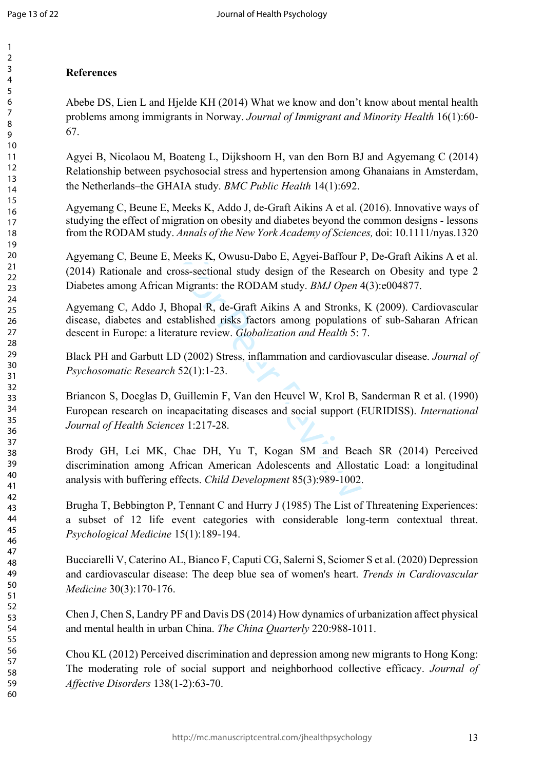$\mathbf{1}$  $\overline{2}$  $\overline{3}$  $\overline{4}$ 5 6  $\overline{7}$ 8 9

# **References**

Abebe DS, Lien L and Hjelde KH (2014) What we know and don't know about mental health problems among immigrants in Norway. *Journal of Immigrant and Minority Health* 16(1):60- 67.

Agyei B, Nicolaou M, Boateng L, Dijkshoorn H, van den Born BJ and Agyemang C (2014) Relationship between psychosocial stress and hypertension among Ghanaians in Amsterdam, the Netherlands–the GHAIA study. *BMC Public Health* 14(1):692.

Agyemang C, Beune E, Meeks K, Addo J, de-Graft Aikins A et al. (2016). Innovative ways of studying the effect of migration on obesity and diabetes beyond the common designs - lessons from the RODAM study. *Annals of the New York Academy of Sciences,* doi: 10.1111/nyas.1320

Agyemang C, Beune E, Meeks K, Owusu-Dabo E, Agyei-Baffour P, De-Graft Aikins A et al. (2014) Rationale and cross-sectional study design of the Research on Obesity and type 2 Diabetes among African Migrants: the RODAM study. *BMJ Open* 4(3):e004877.

Agyemang C, Addo J, Bhopal R, de-Graft Aikins A and Stronks, K (2009). Cardiovascular disease, diabetes and established risks factors among populations of sub-Saharan African descent in Europe: a literature review. *Globalization and Health* 5: 7.

Black PH and Garbutt LD (2002) Stress, inflammation and cardiovascular disease. *Journal of Psychosomatic Research* 52(1):1-23.

Briancon S, Doeglas D, Guillemin F, Van den Heuvel W, Krol B, Sanderman R et al. (1990) European research on incapacitating diseases and social support (EURIDISS). *International Journal of Health Sciences* 1:217-28.

Meeks K, Owusu-Dabo E, Agyei-Baffour I<br>oss-sectional study design of the Researc<br>Migrants: the RODAM study. *BMJ Open* 4<br>hopal R, de-Graft Aikins A and Stronks,<br>tablished risks factors among population<br>ature review. *Globa* Brody GH, Lei MK, Chae DH, Yu T, Kogan SM and Beach SR (2014) Perceived discrimination among African American Adolescents and Allostatic Load: a longitudinal analysis with buffering effects. *Child Development* 85(3):989-1002.

Brugha T, Bebbington P, Tennant C and Hurry J (1985) The List of Threatening Experiences: a subset of 12 life event categories with considerable long-term contextual threat. *Psychological Medicine* 15(1):189-194.

Bucciarelli V, Caterino AL, Bianco F, Caputi CG, Salerni S, Sciomer S et al. (2020) Depression and cardiovascular disease: The deep blue sea of women's heart. *Trends in Cardiovascular Medicine* 30(3):170-176.

Chen J, Chen S, Landry PF and Davis DS (2014) How dynamics of urbanization affect physical and mental health in urban China. *The China Quarterly* 220:988-1011.

Chou KL (2012) Perceived discrimination and depression among new migrants to Hong Kong: The moderating role of social support and neighborhood collective efficacy. *Journal of Affective Disorders* 138(1-2):63-70.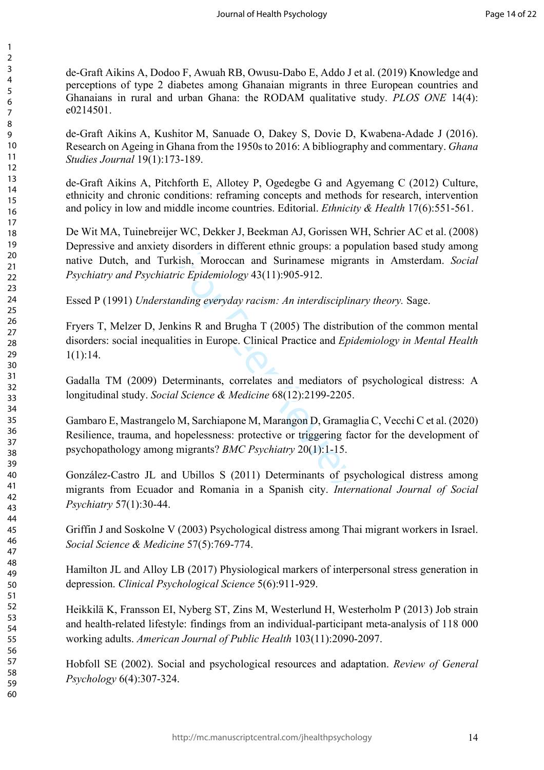de-Graft Aikins A, Dodoo F, Awuah RB, Owusu-Dabo E, Addo J et al. (2019) Knowledge and perceptions of type 2 diabetes among Ghanaian migrants in three European countries and Ghanaians in rural and urban Ghana: the RODAM qualitative study. *PLOS ONE* 14(4): e0214501.

de-Graft Aikins A, Kushitor M, Sanuade O, Dakey S, Dovie D, Kwabena-Adade J (2016). Research on Ageing in Ghana from the 1950s to 2016: A bibliography and commentary. *Ghana Studies Journal* 19(1):173-189.

de-Graft Aikins A, Pitchforth E, Allotey P, Ogedegbe G and Agyemang C (2012) Culture, ethnicity and chronic conditions: reframing concepts and methods for research, intervention and policy in low and middle income countries. Editorial. *Ethnicity & Health* 17(6):551-561.

De Wit MA, Tuinebreijer WC, Dekker J, Beekman AJ, Gorissen WH, Schrier AC et al. (2008) Depressive and anxiety disorders in different ethnic groups: a population based study among native Dutch, and Turkish, Moroccan and Surinamese migrants in Amsterdam. *Social Psychiatry and Psychiatric Epidemiology* 43(11):905-912.

Essed P (1991) *Understanding everyday racism: An interdisciplinary theory.* Sage.

ic Epidemiology 43(11):905-912.<br> *nding everyday racism: An interdisciplinal*<br>
sins R and Brugha T (2005) The distribution<br>
ties in Europe. Clinical Practice and Epide<br>
terminants, correlates and mediators of<br> *I Science &* Fryers T, Melzer D, Jenkins R and Brugha T (2005) The distribution of the common mental disorders: social inequalities in Europe. Clinical Practice and *Epidemiology in Mental Health* 1(1):14.

Gadalla TM (2009) Determinants, correlates and mediators of psychological distress: A longitudinal study. *Social Science & Medicine* 68(12):2199-2205.

Gambaro E, Mastrangelo M, Sarchiapone M, Marangon D, Gramaglia C, Vecchi C et al. (2020) Resilience, trauma, and hopelessness: protective or triggering factor for the development of psychopathology among migrants? *BMC Psychiatry* 20(1):1-15.

González-Castro JL and Ubillos S (2011) Determinants of psychological distress among migrants from Ecuador and Romania in a Spanish city. *International Journal of Social Psychiatry* 57(1):30-44.

Griffin J and Soskolne V (2003) Psychological distress among Thai migrant workers in Israel. *Social Science & Medicine* 57(5):769-774.

Hamilton JL and Alloy LB (2017) Physiological markers of interpersonal stress generation in depression. *Clinical Psychological Science* 5(6):911-929.

Heikkilä K, Fransson EI, Nyberg ST, Zins M, Westerlund H, Westerholm P (2013) Job strain and health-related lifestyle: findings from an individual-participant meta-analysis of 118 000 working adults. *American Journal of Public Health* 103(11):2090-2097.

Hobfoll SE (2002). Social and psychological resources and adaptation. *Review of General Psychology* 6(4):307-324.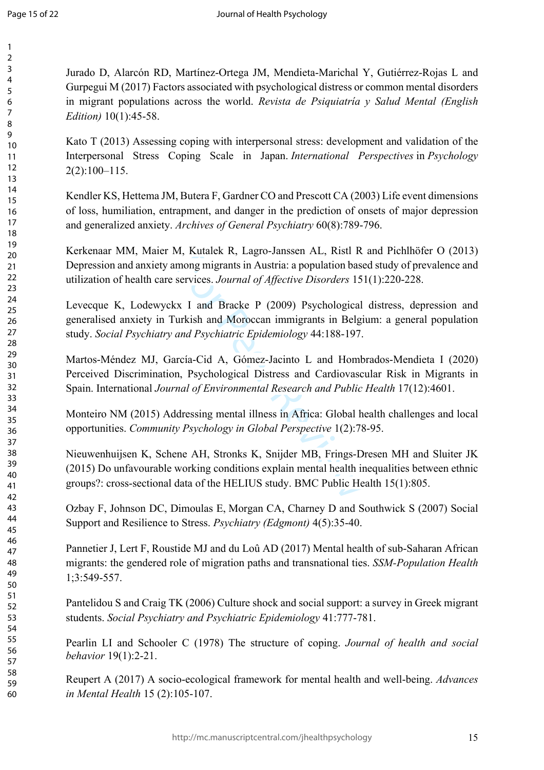$\mathbf{1}$ 

60

Jurado D, Alarcón RD, Martínez-Ortega JM, Mendieta-Marichal Y, Gutiérrez-Rojas L and Gurpegui M (2017) Factors associated with psychological distress or common mental disorders in migrant populations across the world. *Revista de Psiquiatría y Salud Mental (English Edition)* 10(1):45-58.

Kato T (2013) Assessing coping with interpersonal stress: development and validation of the Interpersonal Stress Coping Scale in Japan. *International Perspectives* in *Psychology* 2(2):100–115.

Kendler KS, Hettema JM, Butera F, Gardner CO and Prescott CA (2003) Life event dimensions of loss, humiliation, entrapment, and danger in the prediction of onsets of major depression and generalized anxiety. *Archives of General Psychiatry* 60(8):789-796.

Kerkenaar MM, Maier M, Kutalek R, Lagro-Janssen AL, Ristl R and Pichlhöfer O (2013) Depression and anxiety among migrants in Austria: a population based study of prevalence and utilization of health care services. *Journal of Affective Disorders* 151(1):220-228.

Levecque K, Lodewyckx I and Bracke P (2009) Psychological distress, depression and generalised anxiety in Turkish and Moroccan immigrants in Belgium: a general population study. *Social Psychiatry and Psychiatric Epidemiology* 44:188-197.

Martos-Méndez MJ, García-Cid A, Gómez-Jacinto L and Hombrados-Mendieta I (2020) Perceived Discrimination, Psychological Distress and Cardiovascular Risk in Migrants in Spain. International *Journal of Environmental Research and Public Health* 17(12):4601.

Monteiro NM (2015) Addressing mental illness in Africa: Global health challenges and local opportunities. *Community Psychology in Global Perspective* 1(2):78-95.

*Example 12* Example 2017<br>
mong migrants in Austria: a population bas<br>
services. *Journal of Affective Disorders* 15<br>
x I and Bracke P (2009) Psychological<br>
urkish and Moroccan immigrants in Belg<br>
and Psychiatric Epidemiol Nieuwenhuijsen K, Schene AH, Stronks K, Snijder MB, Frings-Dresen MH and Sluiter JK (2015) Do unfavourable working conditions explain mental health inequalities between ethnic groups?: cross-sectional data of the HELIUS study. BMC Public Health 15(1):805.

Ozbay F, Johnson DC, Dimoulas E, Morgan CA, Charney D and Southwick S (2007) Social Support and Resilience to Stress. *Psychiatry (Edgmont)* 4(5):35-40.

Pannetier J, Lert F, Roustide MJ and du Loû AD (2017) Mental health of sub-Saharan African migrants: the gendered role of migration paths and transnational ties. *SSM-Population Health* 1;3:549-557.

Pantelidou S and Craig TK (2006) Culture shock and social support: a survey in Greek migrant students. *Social Psychiatry and Psychiatric Epidemiology* 41:777-781.

Pearlin LI and Schooler C (1978) The structure of coping. *Journal of health and social behavior* 19(1):2-21.

Reupert A (2017) A socio-ecological framework for mental health and well-being. *Advances in Mental Health* 15 (2):105-107.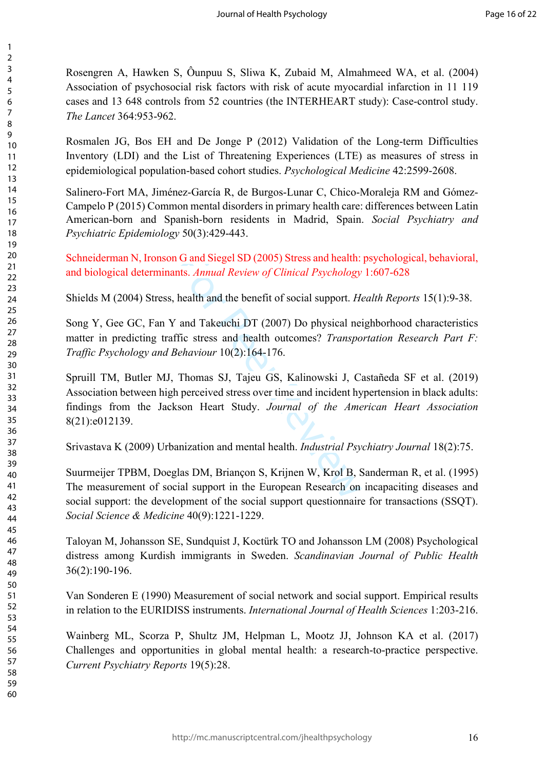Rosengren A, Hawken S, Ôunpuu S, Sliwa K, Zubaid M, Almahmeed WA, et al. (2004) Association of psychosocial risk factors with risk of acute myocardial infarction in 11 119 cases and 13 648 controls from 52 countries (the INTERHEART study): Case-control study. *The Lancet* 364:953-962.

Rosmalen JG, Bos EH and De Jonge P (2012) Validation of the Long-term Difficulties Inventory (LDI) and the List of Threatening Experiences (LTE) as measures of stress in epidemiological population-based cohort studies. *Psychological Medicine* 42:2599-2608.

Salinero-Fort MA, Jiménez-García R, de Burgos-Lunar C, Chico-Moraleja RM and Gómez-Campelo P (2015) Common mental disorders in primary health care: differences between Latin American-born and Spanish-born residents in Madrid, Spain. *Social Psychiatry and Psychiatric Epidemiology* 50(3):429-443.

Schneiderman N, Ironson G and Siegel SD (2005) Stress and health: psychological, behavioral, and biological determinants. *Annual Review of Clinical Psychology* 1:607-628

Shields M (2004) Stress, health and the benefit of social support. *Health Reports* 15(1):9-38.

Song Y, Gee GC, Fan Y and Takeuchi DT (2007) Do physical neighborhood characteristics matter in predicting traffic stress and health outcomes? *Transportation Research Part F: Traffic Psychology and Behaviour* 10(2):164-176.

G and Siegel SD (2005) Stress and health:<br>
Ints. *Annual Review of Clinical Psychology*<br>
health and the benefit of social support. Ho<br>
and Takeuchi DT (2007) Do physical ne<br>
fic stress and health outcomes? *Transpo*<br> *leha* Spruill TM, Butler MJ, Thomas SJ, Tajeu GS, Kalinowski J, Castañeda SF et al. (2019) Association between high perceived stress over time and incident hypertension in black adults: findings from the Jackson Heart Study. *Journal of the American Heart Association* 8(21):e012139.

Srivastava K (2009) Urbanization and mental health. *Industrial Psychiatry Journal* 18(2):75.

Suurmeijer TPBM, Doeglas DM, Briançon S, Krijnen W, Krol B, Sanderman R, et al. (1995) The measurement of social support in the European Research on incapaciting diseases and social support: the development of the social support questionnaire for transactions (SSQT). *Social Science & Medicine* 40(9):1221-1229.

Taloyan M, Johansson SE, Sundquist J, Koctürk TO and Johansson LM (2008) Psychological distress among Kurdish immigrants in Sweden. *Scandinavian Journal of Public Health* 36(2):190-196.

Van Sonderen E (1990) Measurement of social network and social support. Empirical results in relation to the EURIDISS instruments. *International Journal of Health Sciences* 1:203-216.

Wainberg ML, Scorza P, Shultz JM, Helpman L, Mootz JJ, Johnson KA et al. (2017) Challenges and opportunities in global mental health: a research-to-practice perspective. *Current Psychiatry Reports* 19(5):28.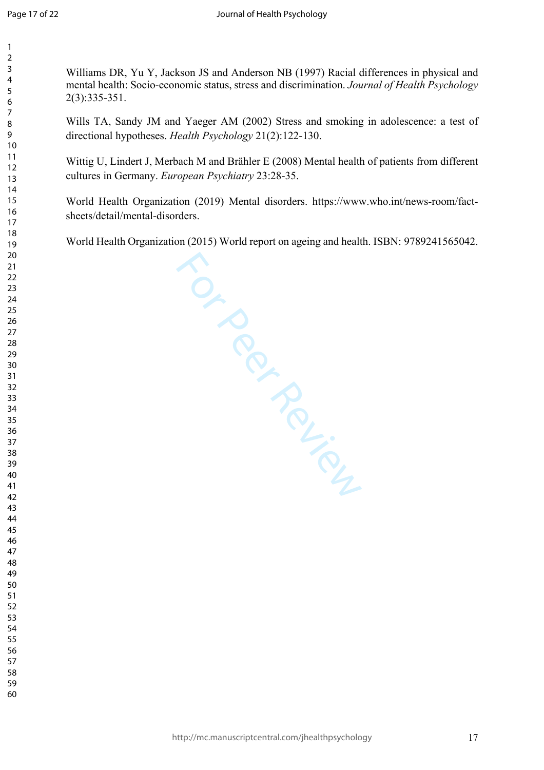$\mathbf{1}$  $\overline{2}$  $\overline{3}$  $\overline{4}$  $\overline{7}$ 

Williams DR, Yu Y, Jackson JS and Anderson NB (1997) Racial differences in physical and mental health: Socio-economic status, stress and discrimination. *Journal of Health Psychology* 2(3):335-351.

Wills TA, Sandy JM and Yaeger AM (2002) Stress and smoking in adolescence: a test of directional hypotheses. *Health Psychology* 21(2):122-130.

Wittig U, Lindert J, Merbach M and Brähler E (2008) Mental health of patients from different cultures in Germany. *European Psychiatry* 23:28-35.

World Health Organization (2019) Mental disorders. https://www.who.int/news-room/factsheets/detail/mental-disorders.

From Per Review World Health Organization (2015) World report on ageing and health. ISBN: 9789241565042.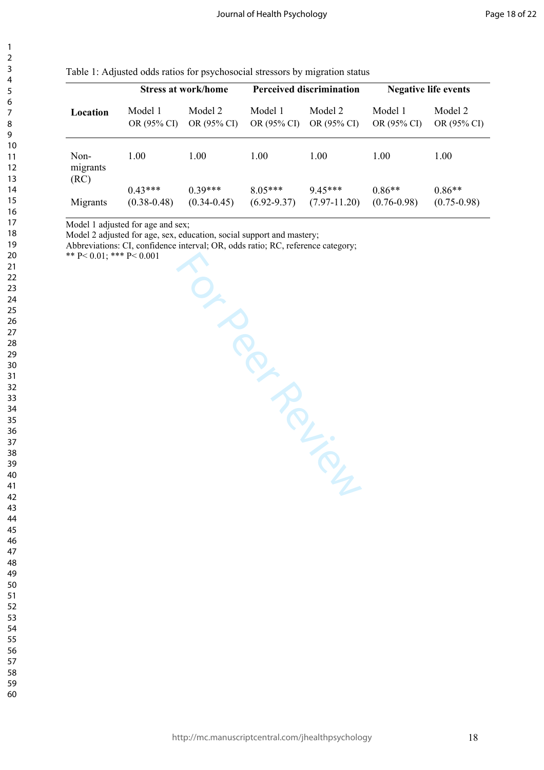|  |  | Table 1: Adjusted odds ratios for psychosocial stressors by migration status |
|--|--|------------------------------------------------------------------------------|
|  |  |                                                                              |

|                          | <b>Stress at work/home</b>   |                              | <b>Perceived discrimination</b> |                             | <b>Negative life events</b> |                             |
|--------------------------|------------------------------|------------------------------|---------------------------------|-----------------------------|-----------------------------|-----------------------------|
| Location                 | Model 1<br>OR (95% CI)       | Model 2<br>OR (95% CI)       | Model 1<br>OR (95% CI)          | Model 2<br>OR (95% CI)      | Model 1<br>OR (95% CI)      | Model 2<br>OR (95% CI)      |
| Non-<br>migrants<br>(RC) | 1.00                         | 1.00                         | 1.00                            | 1.00                        | 1.00                        | 1.00                        |
| Migrants                 | $0.43***$<br>$(0.38 - 0.48)$ | $0.39***$<br>$(0.34 - 0.45)$ | $8.05***$<br>$(6.92 - 9.37)$    | $9.45***$<br>$(7.97-11.20)$ | $0.86**$<br>$(0.76 - 0.98)$ | $0.86**$<br>$(0.75 - 0.98)$ |

Model 1 adjusted for age and sex;

Model 2 adjusted for age, sex, education, social support and mastery;

Abbreviations: CI, confidence interval; OR, odds ratio; RC, reference category;

TON PROPILLING \*\* P  $< 0.01$ ; \*\*\* P  $< 0.001$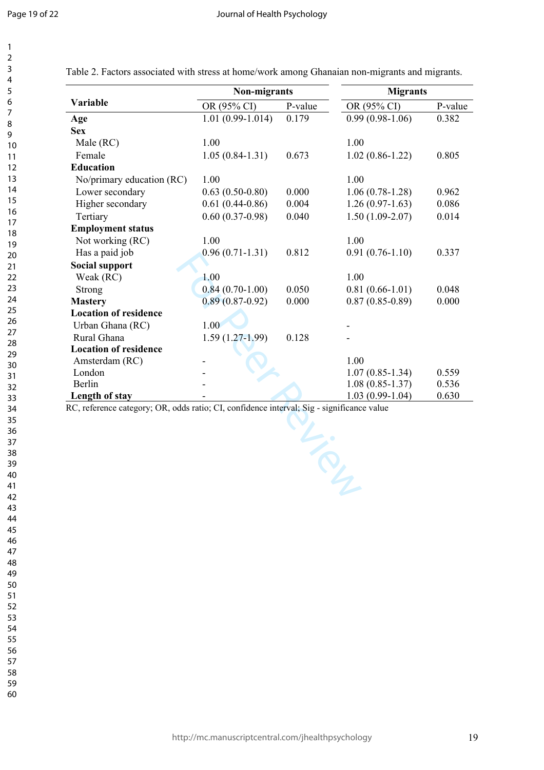| 1               |  |
|-----------------|--|
| $\overline{c}$  |  |
| 3               |  |
| 4               |  |
| 5               |  |
| 6<br>7          |  |
|                 |  |
| 8               |  |
| 9               |  |
| 10              |  |
| 1<br>1          |  |
| $\overline{12}$ |  |
| 13              |  |
| $\overline{14}$ |  |
| 15              |  |
| 16<br>ر<br>17   |  |
| 18              |  |
| 19              |  |
| 20              |  |
| -<br>21         |  |
| $^{22}$         |  |
| 23              |  |
| 24              |  |
| 25              |  |
| 26              |  |
| 27              |  |
| 28              |  |
| 29              |  |
| 30              |  |
| 31              |  |
| 32              |  |
| 33              |  |
| 34              |  |
| 35              |  |
| 36              |  |
| 37              |  |
| 3<br>S<br>Š     |  |
| 39              |  |
| 40              |  |
| 41              |  |
| 42              |  |
| 43              |  |
| 44              |  |
| 45<br>46        |  |
| 47              |  |
| 48              |  |
| 49              |  |
| 50              |  |
| 51              |  |
| 52              |  |
| 53              |  |
| 54              |  |
| 55              |  |
| 56              |  |
| 57              |  |
| 58              |  |

Table 2. Factors associated with stress at home/work among Ghanaian non-migrants and migrants.

|                              | Non-migrants       |         | <b>Migrants</b>   |         |
|------------------------------|--------------------|---------|-------------------|---------|
| Variable                     | OR (95% CI)        | P-value | OR (95% CI)       | P-value |
| Age                          | $1.01(0.99-1.014)$ | 0.179   | $0.99(0.98-1.06)$ | 0.382   |
| <b>Sex</b>                   |                    |         |                   |         |
| Male (RC)                    | 1.00               |         | 1.00              |         |
| Female                       | $1.05(0.84-1.31)$  | 0.673   | $1.02(0.86-1.22)$ | 0.805   |
| <b>Education</b>             |                    |         |                   |         |
| No/primary education (RC)    | 1.00               |         | 1.00              |         |
| Lower secondary              | $0.63(0.50-0.80)$  | 0.000   | $1.06(0.78-1.28)$ | 0.962   |
| Higher secondary             | $0.61(0.44-0.86)$  | 0.004   | $1.26(0.97-1.63)$ | 0.086   |
| Tertiary                     | $0.60(0.37-0.98)$  | 0.040   | $1.50(1.09-2.07)$ | 0.014   |
| <b>Employment status</b>     |                    |         |                   |         |
| Not working (RC)             | 1.00               |         | 1.00              |         |
| Has a paid job               | $0.96(0.71-1.31)$  | 0.812   | $0.91(0.76-1.10)$ | 0.337   |
| Social support               |                    |         |                   |         |
| Weak (RC)                    | 1.00               |         | 1.00              |         |
| <b>Strong</b>                | $0.84(0.70-1.00)$  | 0.050   | $0.81(0.66-1.01)$ | 0.048   |
| <b>Mastery</b>               | $0.89(0.87-0.92)$  | 0.000   | $0.87(0.85-0.89)$ | 0.000   |
| <b>Location of residence</b> |                    |         |                   |         |
| Urban Ghana (RC)             | 1.00               |         |                   |         |
| Rural Ghana                  | $1.59(1.27-1.99)$  | 0.128   |                   |         |
| <b>Location of residence</b> |                    |         |                   |         |
| Amsterdam (RC)               |                    |         | 1.00              |         |
| London                       |                    |         | $1.07(0.85-1.34)$ | 0.559   |
| Berlin                       |                    |         | $1.08(0.85-1.37)$ | 0.536   |
| Length of stay               |                    |         | $1.03(0.99-1.04)$ | 0.630   |

1.03<br>tio; CI, confidence interval; Sig - significance RC, reference category; OR, odds ratio; CI, confidence interval; Sig - significance value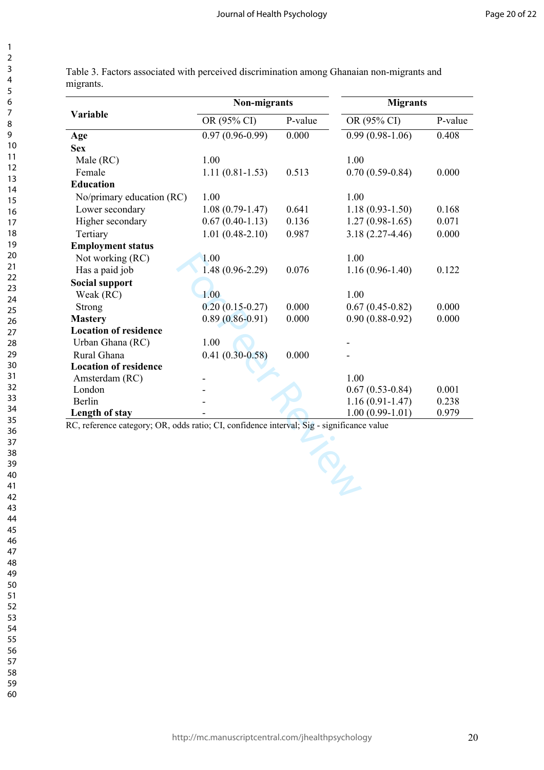|                              | Non-migrants        |         | <b>Migrants</b>   |         |
|------------------------------|---------------------|---------|-------------------|---------|
| Variable                     | OR (95% CI)         | P-value | OR (95% CI)       | P-value |
| Age                          | $0.97(0.96 - 0.99)$ | 0.000   | $0.99(0.98-1.06)$ | 0.408   |
| <b>Sex</b>                   |                     |         |                   |         |
| Male (RC)                    | 1.00                |         | 1.00              |         |
| Female                       | $1.11(0.81-1.53)$   | 0.513   | $0.70(0.59-0.84)$ | 0.000   |
| <b>Education</b>             |                     |         |                   |         |
| No/primary education (RC)    | 1.00                |         | 1.00              |         |
| Lower secondary              | $1.08(0.79-1.47)$   | 0.641   | $1.18(0.93-1.50)$ | 0.168   |
| Higher secondary             | $0.67(0.40-1.13)$   | 0.136   | $1.27(0.98-1.65)$ | 0.071   |
| Tertiary                     | $1.01(0.48-2.10)$   | 0.987   | $3.18(2.27-4.46)$ | 0.000   |
| <b>Employment status</b>     |                     |         |                   |         |
| Not working (RC)             | 1.00                |         | 1.00              |         |
| Has a paid job               | $1.48(0.96-2.29)$   | 0.076   | $1.16(0.96-1.40)$ | 0.122   |
| Social support               |                     |         |                   |         |
| Weak (RC)                    | 1.00                |         | 1.00              |         |
| <b>Strong</b>                | $0.20(0.15-0.27)$   | 0.000   | $0.67(0.45-0.82)$ | 0.000   |
| <b>Mastery</b>               | $0.89(0.86 - 0.91)$ | 0.000   | $0.90(0.88-0.92)$ | 0.000   |
| <b>Location of residence</b> |                     |         |                   |         |
| Urban Ghana (RC)             | 1.00                |         |                   |         |
| Rural Ghana                  | $0.41(0.30-0.58)$   | 0.000   |                   |         |
| <b>Location of residence</b> |                     |         |                   |         |
| Amsterdam (RC)               |                     |         | 1.00              |         |
| London                       |                     |         | $0.67(0.53-0.84)$ | 0.001   |
| Berlin                       |                     |         | $1.16(0.91-1.47)$ | 0.238   |
| Length of stay               |                     |         | $1.00(0.99-1.01)$ | 0.979   |

Table 3. Factors associated with perceived discrimination among Ghanaian non-migrants and migrants.

**For Performance** RC, reference category; OR, odds ratio; CI, confidence interval; Sig - significance value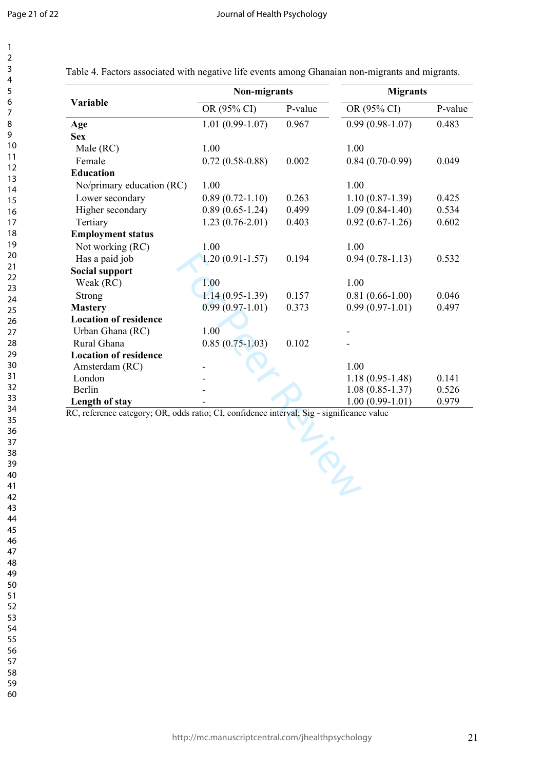| 1                             |  |
|-------------------------------|--|
| $\overline{\mathbf{c}}$       |  |
| 3<br>4                        |  |
|                               |  |
| 5                             |  |
| 6<br>7                        |  |
|                               |  |
| 8                             |  |
| 9                             |  |
| $\overline{10}$               |  |
|                               |  |
|                               |  |
|                               |  |
| 11 12 13 14 15 16 17 18 19 1  |  |
|                               |  |
|                               |  |
|                               |  |
|                               |  |
|                               |  |
|                               |  |
|                               |  |
| 20<br>21<br>22<br>23          |  |
| 24                            |  |
| 25                            |  |
|                               |  |
| 26<br>27                      |  |
| 28                            |  |
| 29                            |  |
| 30                            |  |
| 31                            |  |
|                               |  |
| 32<br>33                      |  |
| 34                            |  |
| $\frac{35}{1}$                |  |
| 36                            |  |
| 37                            |  |
| $\overline{\bf 8}$            |  |
| 39                            |  |
| 40                            |  |
| 41                            |  |
| 42                            |  |
| 43                            |  |
| 44                            |  |
| 45<br>46                      |  |
| 47                            |  |
| 48                            |  |
| 49                            |  |
| 50                            |  |
| 51                            |  |
| 52                            |  |
| 53                            |  |
| 54                            |  |
| 55                            |  |
| 56                            |  |
| 57                            |  |
| $\overline{\mathbf{58}}$<br>ŗ |  |

Table 4. Factors associated with negative life events among Ghanaian non-migrants and migrants.

|                              | Non-migrants        |         | <b>Migrants</b>     |         |
|------------------------------|---------------------|---------|---------------------|---------|
| <b>Variable</b>              | OR (95% CI)         | P-value | OR (95% CI)         | P-value |
| Age                          | $1.01(0.99-1.07)$   | 0.967   | $0.99(0.98-1.07)$   | 0.483   |
| <b>Sex</b>                   |                     |         |                     |         |
| Male (RC)                    | 1.00                |         | 1.00                |         |
| Female                       | $0.72(0.58-0.88)$   | 0.002   | $0.84(0.70-0.99)$   | 0.049   |
| <b>Education</b>             |                     |         |                     |         |
| No/primary education (RC)    | 1.00                |         | 1.00                |         |
| Lower secondary              | $0.89(0.72-1.10)$   | 0.263   | $1.10(0.87-1.39)$   | 0.425   |
| Higher secondary             | $0.89(0.65-1.24)$   | 0.499   | $1.09(0.84-1.40)$   | 0.534   |
| Tertiary                     | $1.23(0.76-2.01)$   | 0.403   | $0.92(0.67-1.26)$   | 0.602   |
| <b>Employment status</b>     |                     |         |                     |         |
| Not working (RC)             | 1.00                |         | 1.00                |         |
| Has a paid job               | $1.20(0.91 - 1.57)$ | 0.194   | $0.94(0.78-1.13)$   | 0.532   |
| Social support               |                     |         |                     |         |
| Weak (RC)                    | 1.00                |         | 1.00                |         |
| <b>Strong</b>                | $1.14(0.95-1.39)$   | 0.157   | $0.81(0.66-1.00)$   | 0.046   |
| <b>Mastery</b>               | $0.99(0.97-1.01)$   | 0.373   | $0.99(0.97-1.01)$   | 0.497   |
| <b>Location of residence</b> |                     |         |                     |         |
| Urban Ghana (RC)             | 1.00                |         |                     |         |
| Rural Ghana                  | $0.85(0.75-1.03)$   | 0.102   |                     |         |
| <b>Location of residence</b> |                     |         |                     |         |
| Amsterdam (RC)               |                     |         | 1.00                |         |
| London                       |                     |         | $1.18(0.95-1.48)$   | 0.141   |
| Berlin                       |                     |         | $1.08(0.85 - 1.37)$ | 0.526   |
| Length of stay               |                     |         | $1.00(0.99-1.01)$   | 0.979   |

RC, reference category; OR, odds ratio; CI, confidence interval; Sig - significance value

Like Review